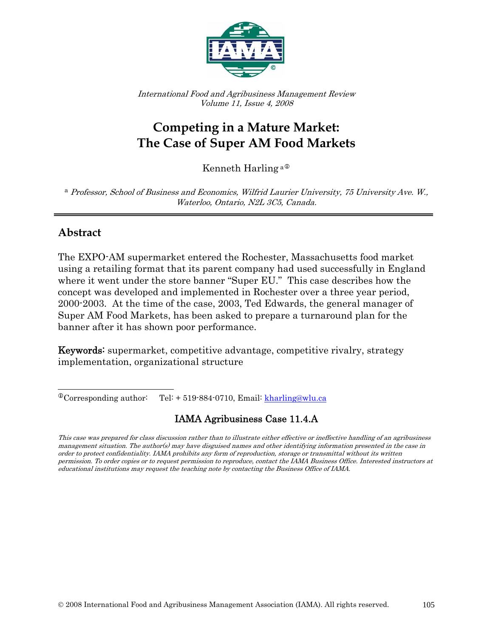

International Food and Agribusiness Management Review Volume 11, Issue 4, 2008

# **Competing in a Mature Market: The Case of Super AM Food Markets**

Kenneth Harling<sup>a $\Phi$ </sup>

<sup>a</sup> Professor, School of Business and Economics, Wilfrid Laurier University, 75 University Ave. W., Waterloo, Ontario, N2L 3C5, Canada.

## **Abstract**

 $\overline{a}$ 

The EXPO-AM supermarket entered the Rochester, Massachusetts food market using a retailing format that its parent company had used successfully in England where it went under the store banner "Super EU." This case describes how the concept was developed and implemented in Rochester over a three year period, 2000-2003. At the time of the case, 2003, Ted Edwards, the general manager of Super AM Food Markets, has been asked to prepare a turnaround plan for the banner after it has shown poor performance.

Keywords: supermarket, competitive advantage, competitive rivalry, strategy implementation, organizational structure

### IAMA Agribusiness Case 11.4.A

<span id="page-0-0"></span> $^{\circ}$ Corresponding author: Tel: + 519-884-0710, Email: kharling@wlu.ca

This case was prepared for class discussion rather than to illustrate either effective or ineffective handling of an agribusiness management situation. The author(s) may have disguised names and other identifying information presented in the case in order to protect confidentiality. IAMA prohibits any form of reproduction, storage or transmittal without its written permission. To order copies or to request permission to reproduce, contact the IAMA Business Office. Interested instructors at educational institutions may request the teaching note by contacting the Business Office of IAMA.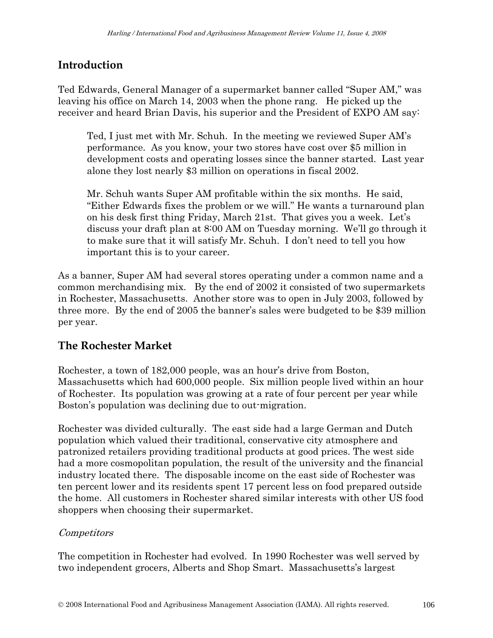## **Introduction**

Ted Edwards, General Manager of a supermarket banner called "Super AM," was leaving his office on March 14, 2003 when the phone rang. He picked up the receiver and heard Brian Davis, his superior and the President of EXPO AM say:

Ted, I just met with Mr. Schuh. In the meeting we reviewed Super AM's performance. As you know, your two stores have cost over \$5 million in development costs and operating losses since the banner started. Last year alone they lost nearly \$3 million on operations in fiscal 2002.

Mr. Schuh wants Super AM profitable within the six months. He said, "Either Edwards fixes the problem or we will." He wants a turnaround plan on his desk first thing Friday, March 21st. That gives you a week. Let's discuss your draft plan at 8:00 AM on Tuesday morning. We'll go through it to make sure that it will satisfy Mr. Schuh. I don't need to tell you how important this is to your career.

As a banner, Super AM had several stores operating under a common name and a common merchandising mix. By the end of 2002 it consisted of two supermarkets in Rochester, Massachusetts. Another store was to open in July 2003, followed by three more. By the end of 2005 the banner's sales were budgeted to be \$39 million per year.

## **The Rochester Market**

Rochester, a town of 182,000 people, was an hour's drive from Boston, Massachusetts which had 600,000 people. Six million people lived within an hour of Rochester. Its population was growing at a rate of four percent per year while Boston's population was declining due to out-migration.

Rochester was divided culturally. The east side had a large German and Dutch population which valued their traditional, conservative city atmosphere and patronized retailers providing traditional products at good prices. The west side had a more cosmopolitan population, the result of the university and the financial industry located there. The disposable income on the east side of Rochester was ten percent lower and its residents spent 17 percent less on food prepared outside the home. All customers in Rochester shared similar interests with other US food shoppers when choosing their supermarket.

### Competitors

The competition in Rochester had evolved. In 1990 Rochester was well served by two independent grocers, Alberts and Shop Smart. Massachusetts's largest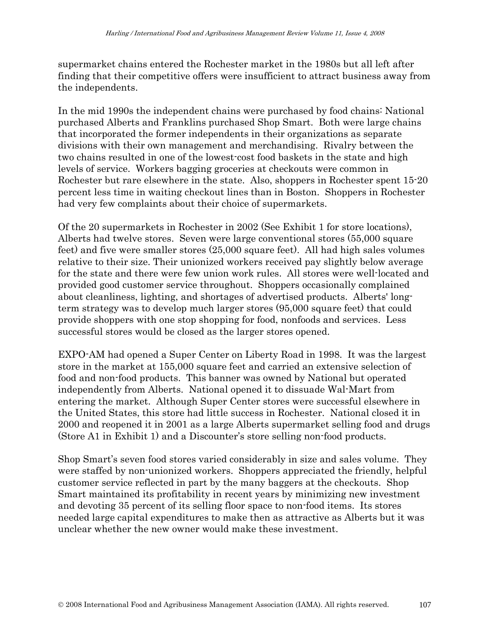supermarket chains entered the Rochester market in the 1980s but all left after finding that their competitive offers were insufficient to attract business away from the independents.

In the mid 1990s the independent chains were purchased by food chains: National purchased Alberts and Franklins purchased Shop Smart. Both were large chains that incorporated the former independents in their organizations as separate divisions with their own management and merchandising. Rivalry between the two chains resulted in one of the lowest-cost food baskets in the state and high levels of service. Workers bagging groceries at checkouts were common in Rochester but rare elsewhere in the state. Also, shoppers in Rochester spent 15-20 percent less time in waiting checkout lines than in Boston. Shoppers in Rochester had very few complaints about their choice of supermarkets.

Of the 20 supermarkets in Rochester in 2002 (See Exhibit 1 for store locations), Alberts had twelve stores. Seven were large conventional stores (55,000 square feet) and five were smaller stores (25,000 square feet). All had high sales volumes relative to their size. Their unionized workers received pay slightly below average for the state and there were few union work rules. All stores were well-located and provided good customer service throughout. Shoppers occasionally complained about cleanliness, lighting, and shortages of advertised products. Alberts' longterm strategy was to develop much larger stores (95,000 square feet) that could provide shoppers with one stop shopping for food, nonfoods and services. Less successful stores would be closed as the larger stores opened.

EXPO-AM had opened a Super Center on Liberty Road in 1998. It was the largest store in the market at 155,000 square feet and carried an extensive selection of food and non-food products. This banner was owned by National but operated independently from Alberts. National opened it to dissuade Wal-Mart from entering the market. Although Super Center stores were successful elsewhere in the United States, this store had little success in Rochester. National closed it in 2000 and reopened it in 2001 as a large Alberts supermarket selling food and drugs (Store A1 in Exhibit 1) and a Discounter's store selling non-food products.

Shop Smart's seven food stores varied considerably in size and sales volume. They were staffed by non-unionized workers. Shoppers appreciated the friendly, helpful customer service reflected in part by the many baggers at the checkouts. Shop Smart maintained its profitability in recent years by minimizing new investment and devoting 35 percent of its selling floor space to non-food items. Its stores needed large capital expenditures to make then as attractive as Alberts but it was unclear whether the new owner would make these investment.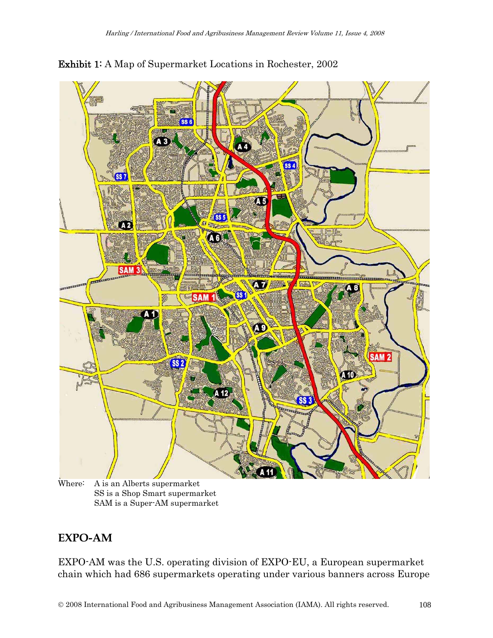

Exhibit 1: A Map of Supermarket Locations in Rochester, 2002

Where: A is an Alberts supermarket SS is a Shop Smart supermarket SAM is a Super-AM supermarket

### **EXPO-AM**

EXPO-AM was the U.S. operating division of EXPO-EU, a European supermarket chain which had 686 supermarkets operating under various banners across Europe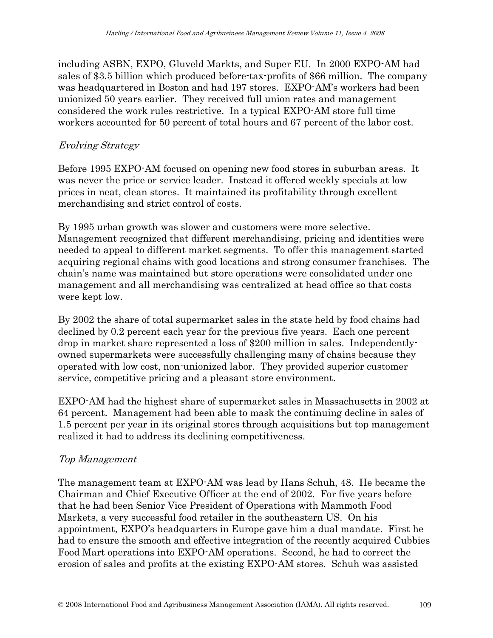including ASBN, EXPO, Gluveld Markts, and Super EU. In 2000 EXPO-AM had sales of \$3.5 billion which produced before-tax-profits of \$66 million. The company was headquartered in Boston and had 197 stores. EXPO-AM's workers had been unionized 50 years earlier. They received full union rates and management considered the work rules restrictive. In a typical EXPO-AM store full time workers accounted for 50 percent of total hours and 67 percent of the labor cost.

### Evolving Strategy

Before 1995 EXPO-AM focused on opening new food stores in suburban areas. It was never the price or service leader. Instead it offered weekly specials at low prices in neat, clean stores. It maintained its profitability through excellent merchandising and strict control of costs.

By 1995 urban growth was slower and customers were more selective. Management recognized that different merchandising, pricing and identities were needed to appeal to different market segments. To offer this management started acquiring regional chains with good locations and strong consumer franchises. The chain's name was maintained but store operations were consolidated under one management and all merchandising was centralized at head office so that costs were kept low.

By 2002 the share of total supermarket sales in the state held by food chains had declined by 0.2 percent each year for the previous five years. Each one percent drop in market share represented a loss of \$200 million in sales. Independentlyowned supermarkets were successfully challenging many of chains because they operated with low cost, non-unionized labor. They provided superior customer service, competitive pricing and a pleasant store environment.

EXPO-AM had the highest share of supermarket sales in Massachusetts in 2002 at 64 percent. Management had been able to mask the continuing decline in sales of 1.5 percent per year in its original stores through acquisitions but top management realized it had to address its declining competitiveness.

#### Top Management

The management team at EXPO-AM was lead by Hans Schuh, 48. He became the Chairman and Chief Executive Officer at the end of 2002. For five years before that he had been Senior Vice President of Operations with Mammoth Food Markets, a very successful food retailer in the southeastern US. On his appointment, EXPO's headquarters in Europe gave him a dual mandate. First he had to ensure the smooth and effective integration of the recently acquired Cubbies Food Mart operations into EXPO-AM operations. Second, he had to correct the erosion of sales and profits at the existing EXPO-AM stores. Schuh was assisted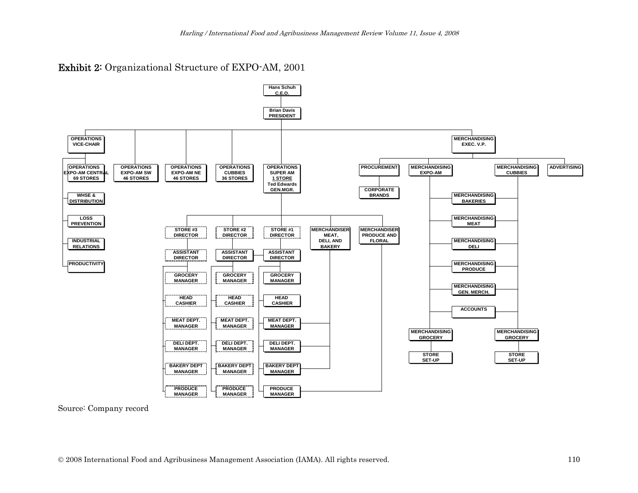#### Exhibit 2: Organizational Structure of EXPO-AM, 2001



Source: Company record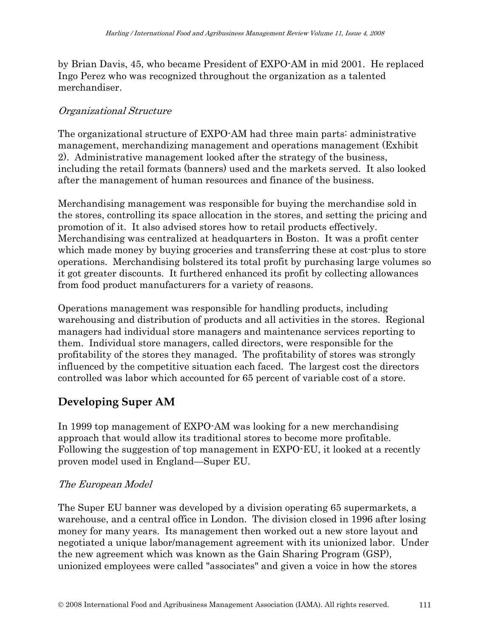by Brian Davis, 45, who became President of EXPO-AM in mid 2001. He replaced Ingo Perez who was recognized throughout the organization as a talented merchandiser.

#### Organizational Structure

The organizational structure of EXPO-AM had three main parts: administrative management, merchandizing management and operations management (Exhibit 2). Administrative management looked after the strategy of the business, including the retail formats (banners) used and the markets served. It also looked after the management of human resources and finance of the business.

Merchandising management was responsible for buying the merchandise sold in the stores, controlling its space allocation in the stores, and setting the pricing and promotion of it. It also advised stores how to retail products effectively. Merchandising was centralized at headquarters in Boston. It was a profit center which made money by buying groceries and transferring these at cost-plus to store operations. Merchandising bolstered its total profit by purchasing large volumes so it got greater discounts. It furthered enhanced its profit by collecting allowances from food product manufacturers for a variety of reasons.

Operations management was responsible for handling products, including warehousing and distribution of products and all activities in the stores. Regional managers had individual store managers and maintenance services reporting to them. Individual store managers, called directors, were responsible for the profitability of the stores they managed. The profitability of stores was strongly influenced by the competitive situation each faced. The largest cost the directors controlled was labor which accounted for 65 percent of variable cost of a store.

## **Developing Super AM**

In 1999 top management of EXPO-AM was looking for a new merchandising approach that would allow its traditional stores to become more profitable. Following the suggestion of top management in EXPO-EU, it looked at a recently proven model used in England—Super EU.

### The European Model

The Super EU banner was developed by a division operating 65 supermarkets, a warehouse, and a central office in London. The division closed in 1996 after losing money for many years. Its management then worked out a new store layout and negotiated a unique labor/management agreement with its unionized labor. Under the new agreement which was known as the Gain Sharing Program (GSP), unionized employees were called "associates" and given a voice in how the stores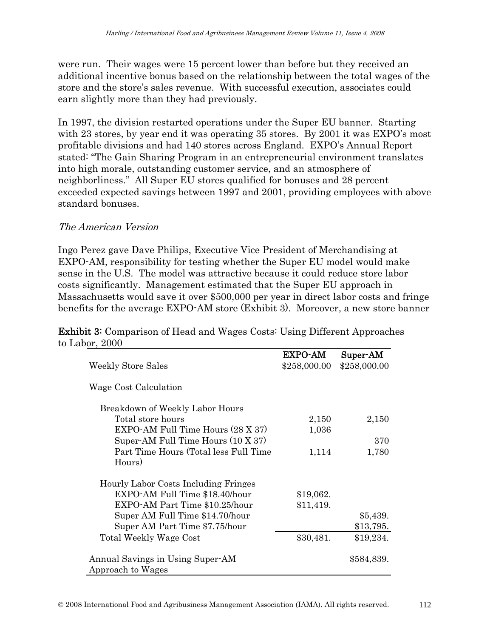were run. Their wages were 15 percent lower than before but they received an additional incentive bonus based on the relationship between the total wages of the store and the store's sales revenue. With successful execution, associates could earn slightly more than they had previously.

In 1997, the division restarted operations under the Super EU banner. Starting with 23 stores, by year end it was operating 35 stores. By 2001 it was EXPO's most profitable divisions and had 140 stores across England. EXPO's Annual Report stated: "The Gain Sharing Program in an entrepreneurial environment translates into high morale, outstanding customer service, and an atmosphere of neighborliness." All Super EU stores qualified for bonuses and 28 percent exceeded expected savings between 1997 and 2001, providing employees with above standard bonuses.

### The American Version

Ingo Perez gave Dave Philips, Executive Vice President of Merchandising at EXPO-AM, responsibility for testing whether the Super EU model would make sense in the U.S. The model was attractive because it could reduce store labor costs significantly. Management estimated that the Super EU approach in Massachusetts would save it over \$500,000 per year in direct labor costs and fringe benefits for the average EXPO-AM store (Exhibit 3). Moreover, a new store banner

Exhibit 3: Comparison of Head and Wages Costs: Using Different Approaches to Labor, 2000

|                                       | <b>EXPO-AM</b> | Super-AM     |
|---------------------------------------|----------------|--------------|
| <b>Weekly Store Sales</b>             | \$258,000.00   | \$258,000.00 |
| Wage Cost Calculation                 |                |              |
| Breakdown of Weekly Labor Hours       |                |              |
| Total store hours                     | 2,150          | 2,150        |
| EXPO-AM Full Time Hours (28 X 37)     | 1,036          |              |
| Super-AM Full Time Hours (10 X 37)    |                | 370          |
| Part Time Hours (Total less Full Time | 1,114          | 1,780        |
| Hours)                                |                |              |
| Hourly Labor Costs Including Fringes  |                |              |
| EXPO-AM Full Time \$18.40/hour        | \$19,062.      |              |
| EXPO-AM Part Time \$10.25/hour        | \$11,419.      |              |
| Super AM Full Time \$14.70/hour       |                | \$5,439.     |
| Super AM Part Time \$7.75/hour        |                | \$13,795.    |
| Total Weekly Wage Cost                | \$30,481.      | \$19,234.    |
| Annual Savings in Using Super-AM      |                | \$584,839.   |
| Approach to Wages                     |                |              |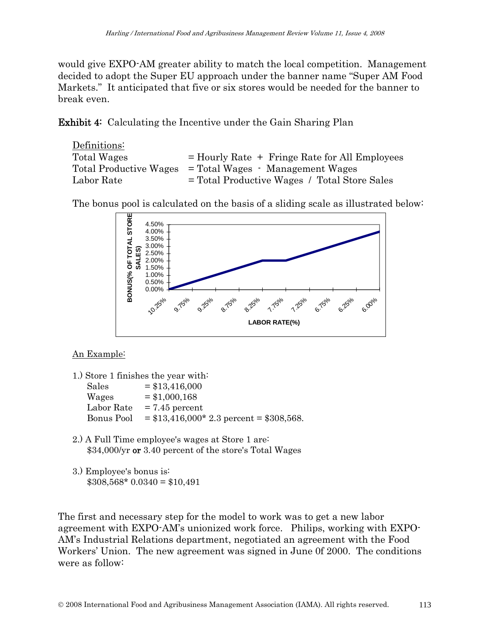would give EXPO-AM greater ability to match the local competition. Management decided to adopt the Super EU approach under the banner name "Super AM Food Markets." It anticipated that five or six stores would be needed for the banner to break even.

Exhibit 4: Calculating the Incentive under the Gain Sharing Plan

Definitions: Total Wages  $=$  Hourly Rate  $+$  Fringe Rate for All Employees Total Productive Wages = Total Wages - Management Wages Labor Rate = Total Productive Wages / Total Store Sales

The bonus pool is calculated on the basis of a sliding scale as illustrated below:



#### An Example:

|            | 1.) Store 1 finishes the year with:      |
|------------|------------------------------------------|
| Sales      | $=$ \$13,416,000                         |
| Wages      | $=$ \$1,000,168                          |
| Labor Rate | $= 7.45$ percent                         |
| Bonus Pool | $= $13,416,000*2.3$ percent = \$308,568. |

- 2.) A Full Time employee's wages at Store 1 are: \$34,000/yr or 3.40 percent of the store's Total Wages
- 3.) Employee's bonus is:  $$308,568*0.0340 = $10,491$

The first and necessary step for the model to work was to get a new labor agreement with EXPO-AM's unionized work force. Philips, working with EXPO-AM's Industrial Relations department, negotiated an agreement with the Food Workers' Union. The new agreement was signed in June 0f 2000. The conditions were as follow: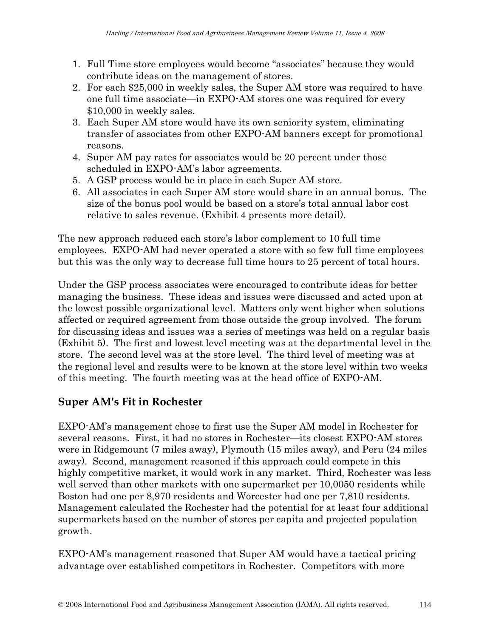- 1. Full Time store employees would become "associates" because they would contribute ideas on the management of stores.
- 2. For each \$25,000 in weekly sales, the Super AM store was required to have one full time associate—in EXPO-AM stores one was required for every \$10,000 in weekly sales.
- 3. Each Super AM store would have its own seniority system, eliminating transfer of associates from other EXPO-AM banners except for promotional reasons.
- 4. Super AM pay rates for associates would be 20 percent under those scheduled in EXPO-AM's labor agreements.
- 5. A GSP process would be in place in each Super AM store.
- 6. All associates in each Super AM store would share in an annual bonus. The size of the bonus pool would be based on a store's total annual labor cost relative to sales revenue. (Exhibit 4 presents more detail).

The new approach reduced each store's labor complement to 10 full time employees. EXPO-AM had never operated a store with so few full time employees but this was the only way to decrease full time hours to 25 percent of total hours.

Under the GSP process associates were encouraged to contribute ideas for better managing the business. These ideas and issues were discussed and acted upon at the lowest possible organizational level. Matters only went higher when solutions affected or required agreement from those outside the group involved. The forum for discussing ideas and issues was a series of meetings was held on a regular basis (Exhibit 5). The first and lowest level meeting was at the departmental level in the store. The second level was at the store level. The third level of meeting was at the regional level and results were to be known at the store level within two weeks of this meeting. The fourth meeting was at the head office of EXPO-AM.

## **Super AM's Fit in Rochester**

EXPO-AM's management chose to first use the Super AM model in Rochester for several reasons. First, it had no stores in Rochester—its closest EXPO-AM stores were in Ridgemount (7 miles away), Plymouth (15 miles away), and Peru (24 miles away). Second, management reasoned if this approach could compete in this highly competitive market, it would work in any market. Third, Rochester was less well served than other markets with one supermarket per 10,0050 residents while Boston had one per 8,970 residents and Worcester had one per 7,810 residents. Management calculated the Rochester had the potential for at least four additional supermarkets based on the number of stores per capita and projected population growth.

EXPO-AM's management reasoned that Super AM would have a tactical pricing advantage over established competitors in Rochester. Competitors with more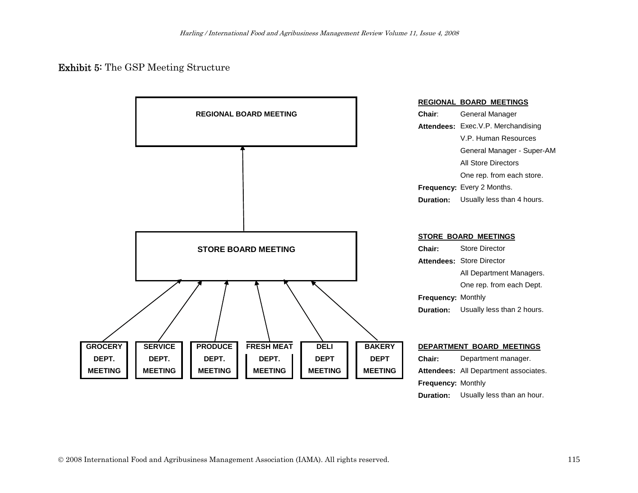#### Exhibit 5: The GSP Meeting Structure



**Duration:** Usually less than an hour.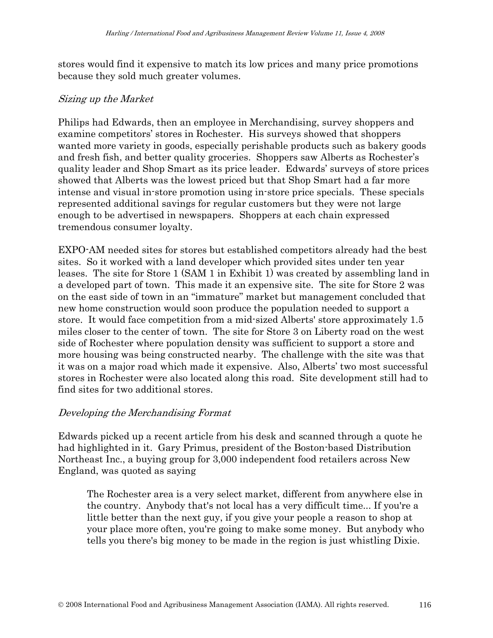stores would find it expensive to match its low prices and many price promotions because they sold much greater volumes.

#### Sizing up the Market

Philips had Edwards, then an employee in Merchandising, survey shoppers and examine competitors' stores in Rochester. His surveys showed that shoppers wanted more variety in goods, especially perishable products such as bakery goods and fresh fish, and better quality groceries. Shoppers saw Alberts as Rochester's quality leader and Shop Smart as its price leader. Edwards' surveys of store prices showed that Alberts was the lowest priced but that Shop Smart had a far more intense and visual in-store promotion using in-store price specials. These specials represented additional savings for regular customers but they were not large enough to be advertised in newspapers. Shoppers at each chain expressed tremendous consumer loyalty.

EXPO-AM needed sites for stores but established competitors already had the best sites. So it worked with a land developer which provided sites under ten year leases. The site for Store 1 (SAM 1 in Exhibit 1) was created by assembling land in a developed part of town. This made it an expensive site. The site for Store 2 was on the east side of town in an "immature" market but management concluded that new home construction would soon produce the population needed to support a store. It would face competition from a mid-sized Alberts' store approximately 1.5 miles closer to the center of town. The site for Store 3 on Liberty road on the west side of Rochester where population density was sufficient to support a store and more housing was being constructed nearby. The challenge with the site was that it was on a major road which made it expensive. Also, Alberts' two most successful stores in Rochester were also located along this road. Site development still had to find sites for two additional stores.

#### Developing the Merchandising Format

Edwards picked up a recent article from his desk and scanned through a quote he had highlighted in it. Gary Primus, president of the Boston-based Distribution Northeast Inc., a buying group for 3,000 independent food retailers across New England, was quoted as saying

The Rochester area is a very select market, different from anywhere else in the country. Anybody that's not local has a very difficult time... If you're a little better than the next guy, if you give your people a reason to shop at your place more often, you're going to make some money. But anybody who tells you there's big money to be made in the region is just whistling Dixie.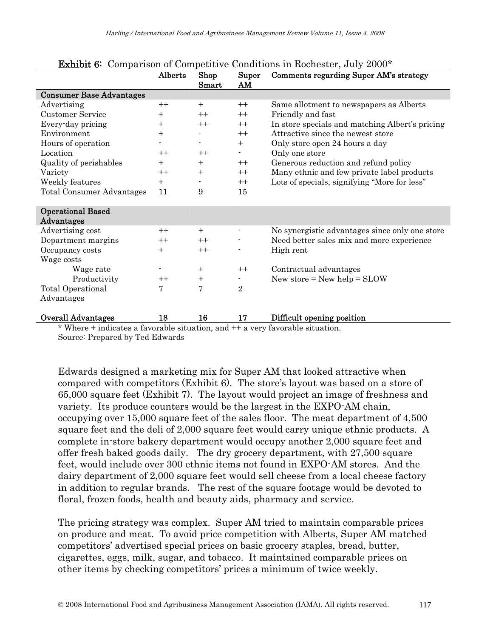|                                  | Alberts      | Shop<br>Smart  | Super<br>AM    | Comments regarding Super AM's strategy          |
|----------------------------------|--------------|----------------|----------------|-------------------------------------------------|
| <b>Consumer Base Advantages</b>  |              |                |                |                                                 |
| Advertising                      | $++$         | $+$            | $++$           | Same allotment to newspapers as Alberts         |
| <b>Customer Service</b>          | $\mathrm{+}$ | $++$           | $++$           | Friendly and fast                               |
| Every-day pricing                | $\ddot{}$    | $++$           | $++$           | In store specials and matching Albert's pricing |
| Environment                      | $\ddot{}$    |                | $++$           | Attractive since the newest store               |
| Hours of operation               |              | $\blacksquare$ | $+$            | Only store open 24 hours a day                  |
| Location                         | $++$         | $++$           | $\blacksquare$ | Only one store                                  |
| Quality of perishables           | $\mathrm{+}$ | $+$            | $++$           | Generous reduction and refund policy            |
| Variety                          | $^{++}$      | $+$            | $++$           | Many ethnic and few private label products      |
| Weekly features                  | $+$          |                | $++$           | Lots of specials, signifying "More for less"    |
| <b>Total Consumer Advantages</b> | 11           | 9              | 15             |                                                 |
| <b>Operational Based</b>         |              |                |                |                                                 |
| Advantages                       |              |                |                |                                                 |
| Advertising cost                 | $++$         | $+$            | $\blacksquare$ | No synergistic advantages since only one store  |
| Department margins               | $++$         | $++$           |                | Need better sales mix and more experience       |
| Occupancy costs                  | $\ddot{}$    | $++$           |                | High rent                                       |
| Wage costs                       |              |                |                |                                                 |
| Wage rate                        |              | $\ddot{}$      | $++$           | Contractual advantages                          |
| Productivity                     | $^{++}$      | $\ddot{}$      | $\blacksquare$ | New store = $New help = SLOW$                   |
| Total Operational                | 7            | 7              | $\overline{2}$ |                                                 |
| Advantages                       |              |                |                |                                                 |
| <b>Overall Advantages</b>        | 18           | 16             | 17             | Difficult opening position                      |

#### Exhibit 6: Comparison of Competitive Conditions in Rochester, July 2000\*

\* Where + indicates a favorable situation, and ++ a very favorable situation. Source: Prepared by Ted Edwards

Edwards designed a marketing mix for Super AM that looked attractive when compared with competitors (Exhibit 6). The store's layout was based on a store of 65,000 square feet (Exhibit 7). The layout would project an image of freshness and variety. Its produce counters would be the largest in the EXPO-AM chain, occupying over 15,000 square feet of the sales floor. The meat department of 4,500 square feet and the deli of 2,000 square feet would carry unique ethnic products. A complete in-store bakery department would occupy another 2,000 square feet and offer fresh baked goods daily. The dry grocery department, with 27,500 square feet, would include over 300 ethnic items not found in EXPO-AM stores. And the dairy department of 2,000 square feet would sell cheese from a local cheese factory in addition to regular brands. The rest of the square footage would be devoted to floral, frozen foods, health and beauty aids, pharmacy and service.

The pricing strategy was complex. Super AM tried to maintain comparable prices on produce and meat. To avoid price competition with Alberts, Super AM matched competitors' advertised special prices on basic grocery staples, bread, butter, cigarettes, eggs, milk, sugar, and tobacco. It maintained comparable prices on other items by checking competitors' prices a minimum of twice weekly.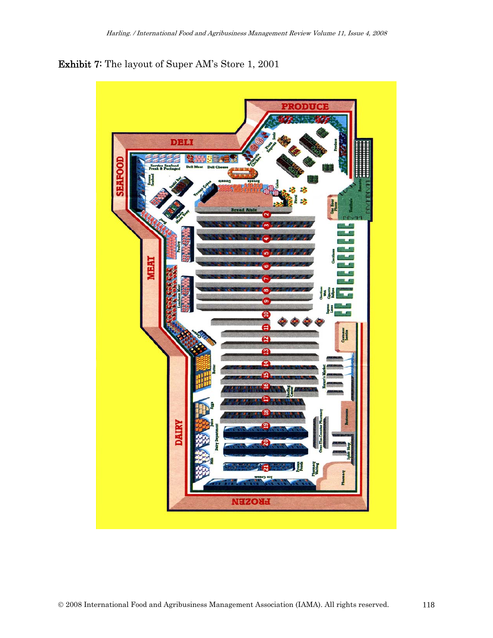

Exhibit 7: The layout of Super AM's Store 1, 2001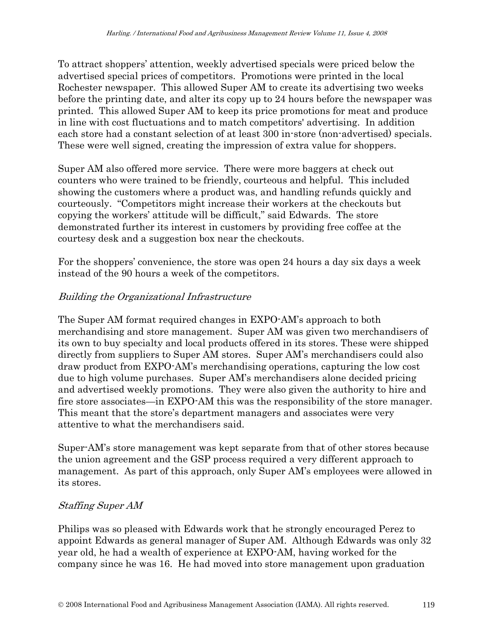To attract shoppers' attention, weekly advertised specials were priced below the advertised special prices of competitors. Promotions were printed in the local Rochester newspaper. This allowed Super AM to create its advertising two weeks before the printing date, and alter its copy up to 24 hours before the newspaper was printed. This allowed Super AM to keep its price promotions for meat and produce in line with cost fluctuations and to match competitors' advertising. In addition each store had a constant selection of at least 300 in-store (non-advertised) specials. These were well signed, creating the impression of extra value for shoppers.

Super AM also offered more service. There were more baggers at check out counters who were trained to be friendly, courteous and helpful. This included showing the customers where a product was, and handling refunds quickly and courteously. "Competitors might increase their workers at the checkouts but copying the workers' attitude will be difficult," said Edwards. The store demonstrated further its interest in customers by providing free coffee at the courtesy desk and a suggestion box near the checkouts.

For the shoppers' convenience, the store was open 24 hours a day six days a week instead of the 90 hours a week of the competitors.

### Building the Organizational Infrastructure

The Super AM format required changes in EXPO-AM's approach to both merchandising and store management. Super AM was given two merchandisers of its own to buy specialty and local products offered in its stores. These were shipped directly from suppliers to Super AM stores. Super AM's merchandisers could also draw product from EXPO-AM's merchandising operations, capturing the low cost due to high volume purchases. Super AM's merchandisers alone decided pricing and advertised weekly promotions. They were also given the authority to hire and fire store associates—in EXPO-AM this was the responsibility of the store manager. This meant that the store's department managers and associates were very attentive to what the merchandisers said.

Super-AM's store management was kept separate from that of other stores because the union agreement and the GSP process required a very different approach to management. As part of this approach, only Super AM's employees were allowed in its stores.

### Staffing Super AM

Philips was so pleased with Edwards work that he strongly encouraged Perez to appoint Edwards as general manager of Super AM. Although Edwards was only 32 year old, he had a wealth of experience at EXPO-AM, having worked for the company since he was 16. He had moved into store management upon graduation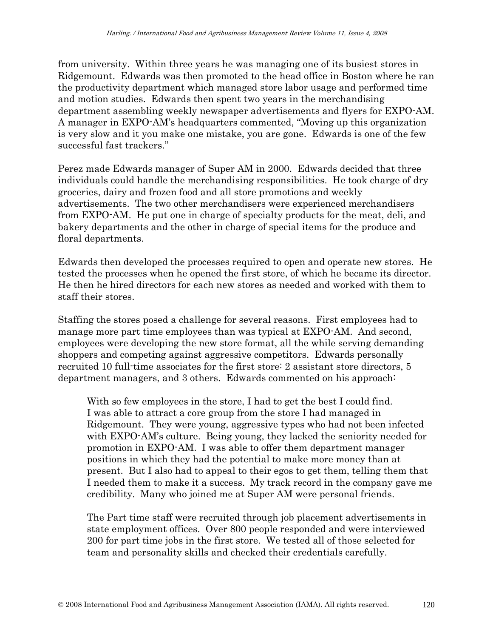from university. Within three years he was managing one of its busiest stores in Ridgemount. Edwards was then promoted to the head office in Boston where he ran the productivity department which managed store labor usage and performed time and motion studies. Edwards then spent two years in the merchandising department assembling weekly newspaper advertisements and flyers for EXPO-AM. A manager in EXPO-AM's headquarters commented, "Moving up this organization is very slow and it you make one mistake, you are gone. Edwards is one of the few successful fast trackers."

Perez made Edwards manager of Super AM in 2000. Edwards decided that three individuals could handle the merchandising responsibilities. He took charge of dry groceries, dairy and frozen food and all store promotions and weekly advertisements. The two other merchandisers were experienced merchandisers from EXPO-AM. He put one in charge of specialty products for the meat, deli, and bakery departments and the other in charge of special items for the produce and floral departments.

Edwards then developed the processes required to open and operate new stores. He tested the processes when he opened the first store, of which he became its director. He then he hired directors for each new stores as needed and worked with them to staff their stores.

Staffing the stores posed a challenge for several reasons. First employees had to manage more part time employees than was typical at EXPO-AM. And second, employees were developing the new store format, all the while serving demanding shoppers and competing against aggressive competitors. Edwards personally recruited 10 full-time associates for the first store: 2 assistant store directors, 5 department managers, and 3 others. Edwards commented on his approach:

With so few employees in the store, I had to get the best I could find. I was able to attract a core group from the store I had managed in Ridgemount. They were young, aggressive types who had not been infected with EXPO-AM's culture. Being young, they lacked the seniority needed for promotion in EXPO-AM. I was able to offer them department manager positions in which they had the potential to make more money than at present. But I also had to appeal to their egos to get them, telling them that I needed them to make it a success. My track record in the company gave me credibility. Many who joined me at Super AM were personal friends.

The Part time staff were recruited through job placement advertisements in state employment offices. Over 800 people responded and were interviewed 200 for part time jobs in the first store. We tested all of those selected for team and personality skills and checked their credentials carefully.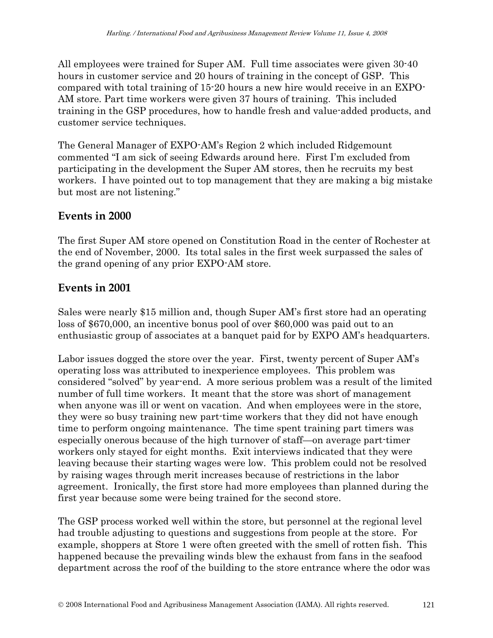All employees were trained for Super AM. Full time associates were given 30-40 hours in customer service and 20 hours of training in the concept of GSP. This compared with total training of 15-20 hours a new hire would receive in an EXPO-AM store. Part time workers were given 37 hours of training. This included training in the GSP procedures, how to handle fresh and value-added products, and customer service techniques.

The General Manager of EXPO-AM's Region 2 which included Ridgemount commented "I am sick of seeing Edwards around here. First I'm excluded from participating in the development the Super AM stores, then he recruits my best workers. I have pointed out to top management that they are making a big mistake but most are not listening."

## **Events in 2000**

The first Super AM store opened on Constitution Road in the center of Rochester at the end of November, 2000. Its total sales in the first week surpassed the sales of the grand opening of any prior EXPO-AM store.

## **Events in 2001**

Sales were nearly \$15 million and, though Super AM's first store had an operating loss of \$670,000, an incentive bonus pool of over \$60,000 was paid out to an enthusiastic group of associates at a banquet paid for by EXPO AM's headquarters.

Labor issues dogged the store over the year. First, twenty percent of Super AM's operating loss was attributed to inexperience employees. This problem was considered "solved" by year-end. A more serious problem was a result of the limited number of full time workers. It meant that the store was short of management when anyone was ill or went on vacation. And when employees were in the store, they were so busy training new part-time workers that they did not have enough time to perform ongoing maintenance. The time spent training part timers was especially onerous because of the high turnover of staff—on average part-timer workers only stayed for eight months. Exit interviews indicated that they were leaving because their starting wages were low. This problem could not be resolved by raising wages through merit increases because of restrictions in the labor agreement. Ironically, the first store had more employees than planned during the first year because some were being trained for the second store.

The GSP process worked well within the store, but personnel at the regional level had trouble adjusting to questions and suggestions from people at the store. For example, shoppers at Store 1 were often greeted with the smell of rotten fish. This happened because the prevailing winds blew the exhaust from fans in the seafood department across the roof of the building to the store entrance where the odor was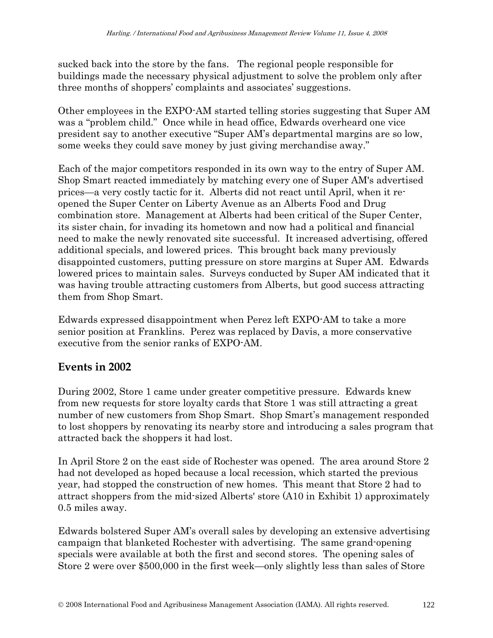sucked back into the store by the fans. The regional people responsible for buildings made the necessary physical adjustment to solve the problem only after three months of shoppers' complaints and associates' suggestions.

Other employees in the EXPO-AM started telling stories suggesting that Super AM was a "problem child." Once while in head office, Edwards overheard one vice president say to another executive "Super AM's departmental margins are so low, some weeks they could save money by just giving merchandise away."

Each of the major competitors responded in its own way to the entry of Super AM. Shop Smart reacted immediately by matching every one of Super AM's advertised prices—a very costly tactic for it. Alberts did not react until April, when it reopened the Super Center on Liberty Avenue as an Alberts Food and Drug combination store. Management at Alberts had been critical of the Super Center, its sister chain, for invading its hometown and now had a political and financial need to make the newly renovated site successful. It increased advertising, offered additional specials, and lowered prices. This brought back many previously disappointed customers, putting pressure on store margins at Super AM. Edwards lowered prices to maintain sales. Surveys conducted by Super AM indicated that it was having trouble attracting customers from Alberts, but good success attracting them from Shop Smart.

Edwards expressed disappointment when Perez left EXPO-AM to take a more senior position at Franklins. Perez was replaced by Davis, a more conservative executive from the senior ranks of EXPO-AM.

## **Events in 2002**

During 2002, Store 1 came under greater competitive pressure. Edwards knew from new requests for store loyalty cards that Store 1 was still attracting a great number of new customers from Shop Smart. Shop Smart's management responded to lost shoppers by renovating its nearby store and introducing a sales program that attracted back the shoppers it had lost.

In April Store 2 on the east side of Rochester was opened. The area around Store 2 had not developed as hoped because a local recession, which started the previous year, had stopped the construction of new homes. This meant that Store 2 had to attract shoppers from the mid-sized Alberts' store (A10 in Exhibit 1) approximately 0.5 miles away.

Edwards bolstered Super AM's overall sales by developing an extensive advertising campaign that blanketed Rochester with advertising. The same grand-opening specials were available at both the first and second stores. The opening sales of Store 2 were over \$500,000 in the first week—only slightly less than sales of Store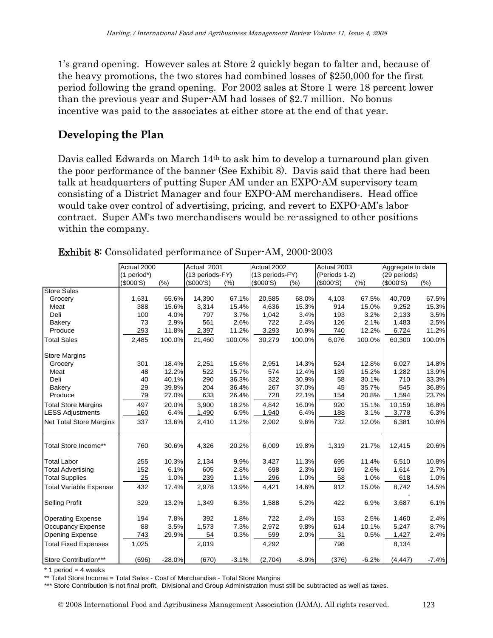1's grand opening. However sales at Store 2 quickly began to falter and, because of the heavy promotions, the two stores had combined losses of \$250,000 for the first period following the grand opening. For 2002 sales at Store 1 were 18 percent lower than the previous year and Super-AM had losses of \$2.7 million. No bonus incentive was paid to the associates at either store at the end of that year.

## **Developing the Plan**

Davis called Edwards on March 14th to ask him to develop a turnaround plan given the poor performance of the banner (See Exhibit 8). Davis said that there had been talk at headquarters of putting Super AM under an EXPO-AM supervisory team consisting of a District Manager and four EXPO-AM merchandisers. Head office would take over control of advertising, pricing, and revert to EXPO-AM's labor contract. Super AM's two merchandisers would be re-assigned to other positions within the company.

|                                | Actual 2000  |          | Actual 2001     |         | Actual 2002     |         | Actual 2003   |         | Aggregate to date |         |
|--------------------------------|--------------|----------|-----------------|---------|-----------------|---------|---------------|---------|-------------------|---------|
|                                | (1 period*)  |          | (13 periods-FY) |         | (13 periods-FY) |         | (Periods 1-2) |         | (29 periods)      |         |
|                                | $($ \$000'S) | (%)      | $($ \$000'S)    | (%)     | $($ \$000'S)    | (%)     | (\$000'S)     | (%)     | (5000'S)          | (% )    |
| <b>Store Sales</b>             |              |          |                 |         |                 |         |               |         |                   |         |
| Grocery                        | 1,631        | 65.6%    | 14,390          | 67.1%   | 20,585          | 68.0%   | 4,103         | 67.5%   | 40.709            | 67.5%   |
| Meat                           | 388          | 15.6%    | 3,314           | 15.4%   | 4,636           | 15.3%   | 914           | 15.0%   | 9,252             | 15.3%   |
| Deli                           | 100          | 4.0%     | 797             | 3.7%    | 1,042           | 3.4%    | 193           | 3.2%    | 2,133             | 3.5%    |
| Bakery                         | 73           | 2.9%     | 561             | 2.6%    | 722             | 2.4%    | 126           | 2.1%    | 1,483             | 2.5%    |
| Produce                        | 293          | 11.8%    | 2,397           | 11.2%   | 3,293           | 10.9%   | 740           | 12.2%   | 6,724             | 11.2%   |
| <b>Total Sales</b>             | 2,485        | 100.0%   | 21,460          | 100.0%  | 30,279          | 100.0%  | 6,076         | 100.0%  | 60,300            | 100.0%  |
| <b>Store Margins</b>           |              |          |                 |         |                 |         |               |         |                   |         |
| Grocery                        | 301          | 18.4%    | 2,251           | 15.6%   | 2,951           | 14.3%   | 524           | 12.8%   | 6,027             | 14.8%   |
| Meat                           | 48           | 12.2%    | 522             | 15.7%   | 574             | 12.4%   | 139           | 15.2%   | 1,282             | 13.9%   |
| Deli                           | 40           | 40.1%    | 290             | 36.3%   | 322             | 30.9%   | 58            | 30.1%   | 710               | 33.3%   |
| Bakery                         | 29           | 39.8%    | 204             | 36.4%   | 267             | 37.0%   | 45            | 35.7%   | 545               | 36.8%   |
| Produce                        | 79           | 27.0%    | 633             | 26.4%   | 728             | 22.1%   | 154           | 20.8%   | 1,594             | 23.7%   |
| <b>Total Store Margins</b>     | 497          | 20.0%    | 3,900           | 18.2%   | 4.842           | 16.0%   | 920           | 15.1%   | 10,159            | 16.8%   |
| <b>LESS Adjustments</b>        | 160          | 6.4%     | 1,490           | 6.9%    | 1,940           | 6.4%    | 188           | 3.1%    | 3,778             | 6.3%    |
| <b>Net Total Store Margins</b> | 337          | 13.6%    | 2,410           | 11.2%   | 2,902           | 9.6%    | 732           | 12.0%   | 6,381             | 10.6%   |
|                                |              |          |                 |         |                 |         |               |         |                   |         |
| Total Store Income**           | 760          | 30.6%    | 4,326           | 20.2%   | 6,009           | 19.8%   | 1,319         | 21.7%   | 12,415            | 20.6%   |
| <b>Total Labor</b>             | 255          | 10.3%    | 2,134           | 9.9%    | 3,427           | 11.3%   | 695           | 11.4%   | 6.510             | 10.8%   |
| <b>Total Advertising</b>       | 152          | 6.1%     | 605             | 2.8%    | 698             | 2.3%    | 159           | 2.6%    | 1,614             | 2.7%    |
| <b>Total Supplies</b>          | 25           | 1.0%     | 239             | 1.1%    | 296             | 1.0%    | 58            | 1.0%    | 618               | 1.0%    |
| <b>Total Variable Expense</b>  | 432          | 17.4%    | 2,978           | 13.9%   | 4,421           | 14.6%   | 912           | 15.0%   | 8,742             | 14.5%   |
| <b>Selling Profit</b>          | 329          | 13.2%    | 1,349           | 6.3%    | 1,588           | 5.2%    | 422           | 6.9%    | 3,687             | 6.1%    |
| <b>Operating Expense</b>       | 194          | 7.8%     | 392             | 1.8%    | 722             | 2.4%    | 153           | 2.5%    | 1.460             | 2.4%    |
| <b>Occupancy Expense</b>       | 88           | 3.5%     | 1,573           | 7.3%    | 2,972           | 9.8%    | 614           | 10.1%   | 5,247             | 8.7%    |
| <b>Opening Expense</b>         | 743          | 29.9%    | 54              | 0.3%    | 599             | 2.0%    | 31            | 0.5%    | 1,427             | 2.4%    |
| <b>Total Fixed Expenses</b>    | 1,025        |          | 2,019           |         | 4,292           |         | 798           |         | 8,134             |         |
| Store Contribution***          | (696)        | $-28.0%$ | (670)           | $-3.1%$ | (2,704)         | $-8.9%$ | (376)         | $-6.2%$ | (4, 447)          | $-7.4%$ |

### Exhibit 8: Consolidated performance of Super-AM, 2000-2003

 $*$  1 period = 4 weeks

\*\* Total Store Income = Total Sales - Cost of Merchandise - Total Store Margins

\*\*\* Store Contribution is not final profit. Divisional and Group Administration must still be subtracted as well as taxes.

© 2008 International Food and Agribusiness Management Association (IAMA). All rights reserved. 123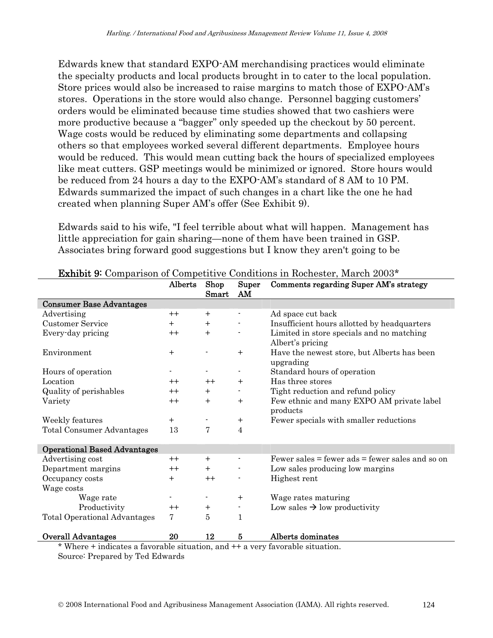Edwards knew that standard EXPO-AM merchandising practices would eliminate the specialty products and local products brought in to cater to the local population. Store prices would also be increased to raise margins to match those of EXPO-AM's stores. Operations in the store would also change. Personnel bagging customers' orders would be eliminated because time studies showed that two cashiers were more productive because a "bagger" only speeded up the checkout by 50 percent. Wage costs would be reduced by eliminating some departments and collapsing others so that employees worked several different departments. Employee hours would be reduced. This would mean cutting back the hours of specialized employees like meat cutters. GSP meetings would be minimized or ignored. Store hours would be reduced from 24 hours a day to the EXPO-AM's standard of 8 AM to 10 PM. Edwards summarized the impact of such changes in a chart like the one he had created when planning Super AM's offer (See Exhibit 9).

Edwards said to his wife, "I feel terrible about what will happen. Management has little appreciation for gain sharing—none of them have been trained in GSP. Associates bring forward good suggestions but I know they aren't going to be

|                                     | Alberts          | Shop<br>Smart  | Super<br>AM    | Comments regarding Super AM's strategy                        |
|-------------------------------------|------------------|----------------|----------------|---------------------------------------------------------------|
| <b>Consumer Base Advantages</b>     |                  |                |                |                                                               |
| Advertising                         | $++$             | $+$            | $\blacksquare$ | Ad space cut back                                             |
| <b>Customer Service</b>             | $+$              | $^{+}$         |                | Insufficient hours allotted by headquarters                   |
| Every-day pricing                   | $^{\mathrm{++}}$ | $\mathrm{+}$   |                | Limited in store specials and no matching<br>Albert's pricing |
| Environment                         | $+$              |                | $+$            | Have the newest store, but Alberts has been<br>upgrading      |
| Hours of operation                  |                  |                |                | Standard hours of operation                                   |
| Location                            | $++$             | $++$           | $+$            | Has three stores                                              |
| Quality of perishables              | $++$             | $\ddot{}$      | $\blacksquare$ | Tight reduction and refund policy                             |
| Variety                             | $++$             | $\mathrm{+}$   | $+$            | Few ethnic and many EXPO AM private label<br>products         |
| Weekly features                     | $+$              |                | $\ddot{}$      | Fewer specials with smaller reductions                        |
| <b>Total Consumer Advantages</b>    | 13               | 7              | $\overline{4}$ |                                                               |
| <b>Operational Based Advantages</b> |                  |                |                |                                                               |
| Advertising cost                    | $++$             | $+$            |                | Fewer sales $=$ fewer ads $=$ fewer sales and so on           |
| Department margins                  | $^{++}$          | $\ddot{}$      |                | Low sales producing low margins                               |
| Occupancy costs                     | $^{+}$           | $++$           |                | Highest rent                                                  |
| Wage costs                          |                  |                |                |                                                               |
| Wage rate                           |                  | $\blacksquare$ | $^{+}$         | Wage rates maturing                                           |
| Productivity                        | $++$             | $\ddot{}$      | ٠              | Low sales $\rightarrow$ low productivity                      |
| <b>Total Operational Advantages</b> | 7                | 5              | 1              |                                                               |
| <b>Overall Advantages</b>           | 20               | 12             | 5              | Alberts dominates                                             |

\* Where + indicates a favorable situation, and ++ a very favorable situation. Source: Prepared by Ted Edwards